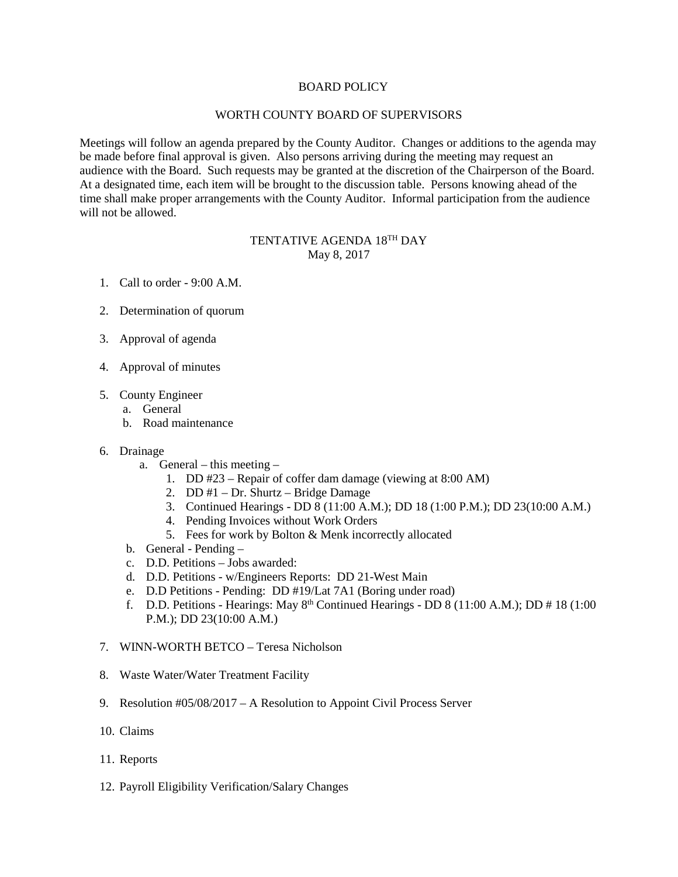## BOARD POLICY

## WORTH COUNTY BOARD OF SUPERVISORS

Meetings will follow an agenda prepared by the County Auditor. Changes or additions to the agenda may be made before final approval is given. Also persons arriving during the meeting may request an audience with the Board. Such requests may be granted at the discretion of the Chairperson of the Board. At a designated time, each item will be brought to the discussion table. Persons knowing ahead of the time shall make proper arrangements with the County Auditor. Informal participation from the audience will not be allowed.

## TENTATIVE AGENDA 18TH DAY May 8, 2017

- 1. Call to order 9:00 A.M.
- 2. Determination of quorum
- 3. Approval of agenda
- 4. Approval of minutes
- 5. County Engineer
	- a. General
	- b. Road maintenance

## 6. Drainage

- a. General this meeting
	- 1. DD #23 Repair of coffer dam damage (viewing at 8:00 AM)
	- 2. DD #1 Dr. Shurtz Bridge Damage
	- 3. Continued Hearings DD 8 (11:00 A.M.); DD 18 (1:00 P.M.); DD 23(10:00 A.M.)
	- 4. Pending Invoices without Work Orders
	- 5. Fees for work by Bolton & Menk incorrectly allocated
- b. General Pending –
- c. D.D. Petitions Jobs awarded:
- d. D.D. Petitions w/Engineers Reports: DD 21-West Main
- e. D.D Petitions Pending: DD #19/Lat 7A1 (Boring under road)
- f. D.D. Petitions Hearings: May  $8<sup>th</sup>$  Continued Hearings DD 8 (11:00 A.M.); DD # 18 (1:00) P.M.); DD 23(10:00 A.M.)
- 7. WINN-WORTH BETCO Teresa Nicholson
- 8. Waste Water/Water Treatment Facility
- 9. Resolution #05/08/2017 A Resolution to Appoint Civil Process Server
- 10. Claims
- 11. Reports
- 12. Payroll Eligibility Verification/Salary Changes